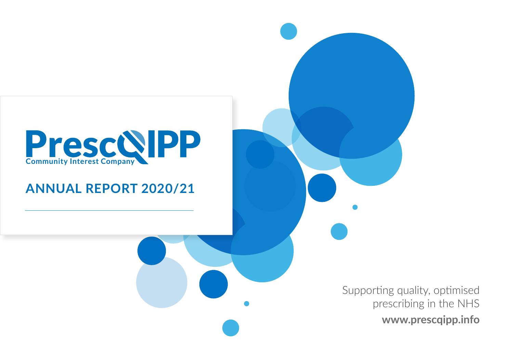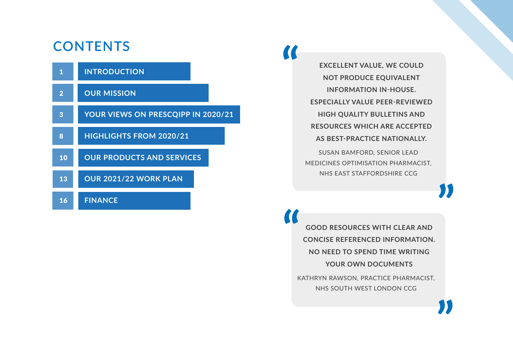### **CONTENTS**

|                | <b>INTRODUCTION</b>                |
|----------------|------------------------------------|
| $\overline{2}$ | <b>OUR MISSION</b>                 |
| 3              | YOUR VIEWS ON PRESCOIPP IN 2020/21 |
| 8              | <b>HIGHLIGHTS FROM 2020/21</b>     |
| 10             | <b>OUR PRODUCTS AND SERVICES</b>   |
| 13             | <b>OUR 2021/22 WORK PLAN</b>       |
| 16             | <b>FINANCE</b>                     |

**EXCELLENT VALUE, WE COULD NOT PRODUCE EQUIVALENT INFORMATION IN-HOUSE. ESPECIALLY VALUE PEER-REVIEWED HIGH QUALITY BULLETINS AND RESOURCES WHICH ARE ACCEPTED AS BEST-PRACTICE NATIONALLY.** SUSAN BAMFORD, SENIOR LEAD MEDICINES OPTIMISATION PHARMACIST,

**A** 

**GOOD RESOURCES WITH CLEAR AND CONCISE REFERENCED INFORMATION. NO NEED TO SPEND TIME WRITING YOUR OWN DOCUMENTS**

NHS EAST STAFFORDSHIRE CCG

KATHRYN RAWSON, PRACTICE PHARMACIST, NHS SOUTH WEST LONDON CCG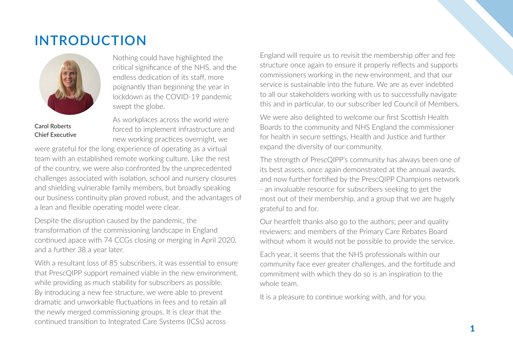### <span id="page-2-0"></span>**INTRODUCTION**



**Carol Roberts Chief Executive** 

Nothing could have highlighted the critical significance of the NHS, and the endless dedication of its staff, more poignantly than beginning the year in lockdown as the COVID-19 pandemic swept the globe.

As workplaces across the world were Forced to implement infrastructure and new working practices overnight, we

were grateful for the long experience of operating as a virtual team with an established remote working culture. Like the rest of the country, we were also confronted by the unprecedented challenges associated with isolation, school and nursery closures and shielding vulnerable family members, but broadly speaking our business continuity plan proved robust, and the advantages of a lean and flexible operating model were clear.

Despite the disruption caused by the pandemic, the transformation of the commissioning landscape in England continued apace with 74 CCGs closing or merging in April 2020, and a further 38 a year later.

With a resultant loss of 85 subscribers, it was essential to ensure that PrescQIPP support remained viable in the new environment, while providing as much stability for subscribers as possible. By introducing a new fee structure, we were able to prevent dramatic and unworkable fluctuations in fees and to retain all the newly merged commissioning groups. It is clear that the continued transition to Integrated Care Systems (ICSs) across

England will require us to revisit the membership offer and fee structure once again to ensure it properly reflects and supports commissioners working in the new environment, and that our service is sustainable into the future. We are as ever indebted to all our stakeholders working with us to successfully navigate this and in particular, to our subscriber led Council of Members.

We were also delighted to welcome our first Scottish Health Boards to the community and NHS England the commissioner for health in secure settings, Health and Justice and further expand the diversity of our community.

The strength of PrescQIPP's community has always been one of its best assets, once again demonstrated at the annual awards, and now further fortified by the PrescQIPP Champions network - an invaluable resource for subscribers seeking to get the most out of their membership, and a group that we are hugely grateful to and for.

Our heartfelt thanks also go to the authors; peer and quality reviewers; and members of the Primary Care Rebates Board without whom it would not be possible to provide the service.

Each year, it seems that the NHS professionals within our community face ever greater challenges, and the fortitude and commitment with which they do so is an inspiration to the whole team.

It is a pleasure to continue working with, and for you.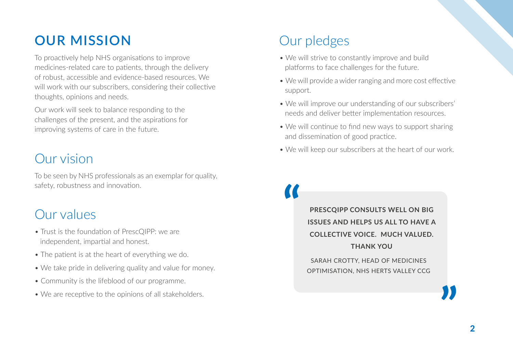### <span id="page-3-0"></span>**OUR MISSION**

To proactively help NHS organisations to improve medicines-related care to patients, through the delivery of robust, accessible and evidence-based resources. We will work with our subscribers, considering their collective thoughts, opinions and needs.

Our work will seek to balance responding to the challenges of the present, and the aspirations for improving systems of care in the future.

### Our vision

To be seen by NHS professionals as an exemplar for quality, safety, robustness and innovation.

### Our values

- Trust is the foundation of PrescQIPP: we are independent, impartial and honest.
- The patient is at the heart of everything we do.
- We take pride in delivering quality and value for money.
- Community is the lifeblood of our programme.
- We are receptive to the opinions of all stakeholders.

# Our pledges

- We will strive to constantly improve and build platforms to face challenges for the future.
- We will provide a wider ranging and more cost effective support.
- We will improve our understanding of our subscribers' needs and deliver better implementation resources.
- We will continue to find new ways to support sharing and dissemination of good practice.
- We will keep our subscribers at the heart of our work.

**PRESCQIPP CONSULTS WELL ON BIG ISSUES AND HELPS US ALL TO HAVE A COLLECTIVE VOICE. MUCH VALUED. THANK YOU**

SARAH CROTTY, HEAD OF MEDICINES OPTIMISATION, NHS HERTS VALLEY CCG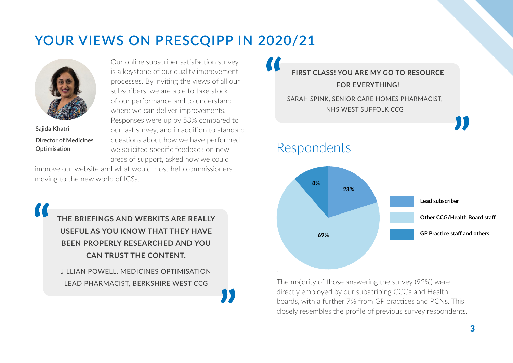## <span id="page-4-0"></span>**YOUR VIEWS ON PRESCQIPP IN 2020/21**



**Sajida Khatri Director of Medicines Optimisation**

Our online subscriber satisfaction survey is a keystone of our quality improvement processes. By inviting the views of all our subscribers, we are able to take stock of our performance and to understand where we can deliver improvements. Responses were up by 53% compared to our last survey, and in addition to standard questions about how we have performed, we solicited specific feedback on new areas of support, asked how we could

improve our website and what would most help commissioners moving to the new world of ICSs.

**THE BRIEFINGS AND WEBKITS ARE REALLY USEFUL AS YOU KNOW THAT THEY HAVE BEEN PROPERLY RESEARCHED AND YOU CAN TRUST THE CONTENT.** JILLIAN POWELL, MEDICINES OPTIMISATION

LEAD PHARMACIST, BERKSHIRE WEST CCG

**FIRST CLASS! YOU ARE MY GO TO RESOURCE FOR EVERYTHING!** 

SARAH SPINK, SENIOR CARE HOMES PHARMACIST, NHS WEST SUFFOLK CCG

### Respondents



The majority of those answering the survey (92%) were directly employed by our subscribing CCGs and Health boards, with a further 7% from GP practices and PCNs. This closely resembles the profile of previous survey respondents.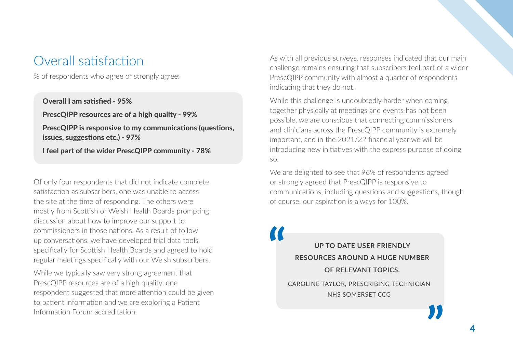### Overall satisfaction

% of respondents who agree or strongly agree:

Overall I am satisfied - 95% PrescQIPP resources are of a high quality - 99% PrescQIPP is responsive to my communications (questions, issues, suggestions etc.) - 97% I feel part of the wider PrescQIPP community - 78%

Of only four respondents that did not indicate complete satisfaction as subscribers, one was unable to access the site at the time of responding. The others were mostly from Scottish or Welsh Health Boards prompting discussion about how to improve our support to commissioners in those nations. As a result of follow up conversations, we have developed trial data tools specifically for Scottish Health Boards and agreed to hold regular meetings specifically with our Welsh subscribers.

While we typically saw very strong agreement that PrescQIPP resources are of a high quality, one respondent suggested that more attention could be given to patient information and we are exploring a Patient Information Forum accreditation.

As with all previous surveys, responses indicated that our main challenge remains ensuring that subscribers feel part of a wider PrescQIPP community with almost a quarter of respondents indicating that they do not.

While this challenge is undoubtedly harder when coming together physically at meetings and events has not been possible, we are conscious that connecting commissioners and clinicians across the PrescQIPP community is extremely important, and in the 2021/22 financial year we will be introducing new initiatives with the express purpose of doing so.

We are delighted to see that 96% of respondents agreed or strongly agreed that PrescQIPP is responsive to communications, including questions and suggestions, though of course, our aspiration is always for 100%.

**UP TO DATE USER FRIENDLY RESOURCES AROUND A HUGE NUMBER OF RELEVANT TOPICS.**  CAROLINE TAYLOR, PRESCRIBING TECHNICIAN NHS SOMERSET CCG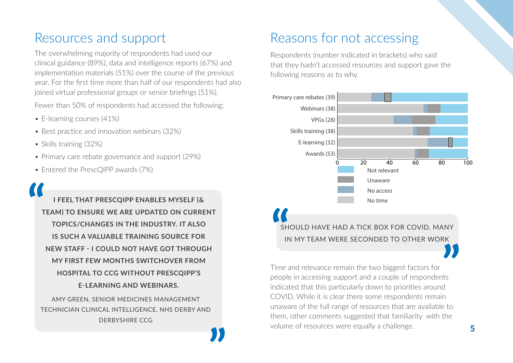### Resources and support

The overwhelming majority of respondents had used our clinical guidance (89%), data and intelligence reports (67%) and implementation materials (51%) over the course of the previous year. For the first time more than half of our respondents had also joined virtual professional groups or senior briefings (51%).

Fewer than 50% of respondents had accessed the following:

- E-learning courses (41%)
- Best practice and innovation webinars (32%)
- Skills training (32%)
- Primary care rebate governance and support (29%)
- Entered the PrescQIPP awards (7%)

**I FEEL THAT PRESCQIPP ENABLES MYSELF (& TEAM) TO ENSURE WE ARE UPDATED ON CURRENT TOPICS/CHANGES IN THE INDUSTRY. IT ALSO IS SUCH A VALUABLE TRAINING SOURCE FOR NEW STAFF - I COULD NOT HAVE GOT THROUGH MY FIRST FEW MONTHS SWITCHOVER FROM HOSPITAL TO CCG WITHOUT PRESCQIPP'S E-LEARNING AND WEBINARS.**

AMY GREEN, SENIOR MEDICINES MANAGEMENT TECHNICIAN CLINICAL INTELLIGENCE, NHS DERBY AND DERBYSHIRE CCG

### Reasons for not accessing

Respondents (number indicated in brackets) who said that they hadn't accessed resources and support gave the following reasons as to why.



Time and relevance remain the two biggest factors for people in accessing support and a couple of respondents indicated that this particularly down to priorities around COVID. While it is clear there some respondents remain unaware of the full range of resources that are available to them, other comments suggested that familiarity with the volume of resources were equally a challenge.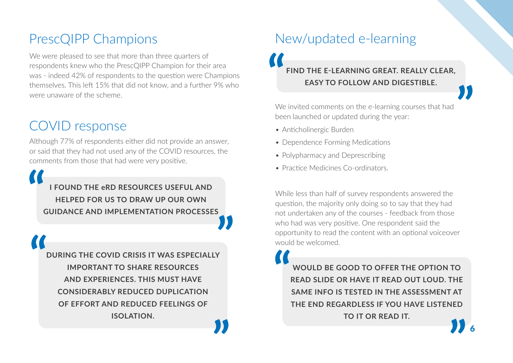### PrescQIPP Champions

We were pleased to see that more than three quarters of respondents knew who the PrescQIPP Champion for their area was - indeed 42% of respondents to the question were Champions themselves. This left 15% that did not know, and a further 9% who were unaware of the scheme.

## COVID response

Although 77% of respondents either did not provide an answer, or said that they had not used any of the COVID resources, the comments from those that had were very positive.

**I FOUND THE eRD RESOURCES USEFUL AND HELPED FOR US TO DRAW UP OUR OWN GUIDANCE AND IMPLEMENTATION PROCESSES**

**DURING THE COVID CRISIS IT WAS ESPECIALLY IMPORTANT TO SHARE RESOURCES AND EXPERIENCES. THIS MUST HAVE CONSIDERABLY REDUCED DUPLICATION OF EFFORT AND REDUCED FEELINGS OF ISOLATION.**

### New/updated e-learning

### **FIND THE E-LEARNING GREAT. REALLY CLEAR, EASY TO FOLLOW AND DIGESTIBLE.**

We invited comments on the e-learning courses that had been launched or updated during the year:

- Anticholinergic Burden
- Dependence Forming Medications
- Polypharmacy and Deprescribing
- Practice Medicines Co-ordinators.

While less than half of survey respondents answered the question, the majority only doing so to say that they had not undertaken any of the courses - feedback from those who had was very positive. One respondent said the opportunity to read the content with an optional voiceover would be welcomed.

**WOULD BE GOOD TO OFFER THE OPTION TO READ SLIDE OR HAVE IT READ OUT LOUD. THE SAME INFO IS TESTED IN THE ASSESSMENT AT THE END REGARDLESS IF YOU HAVE LISTENED TO IT OR READ IT.**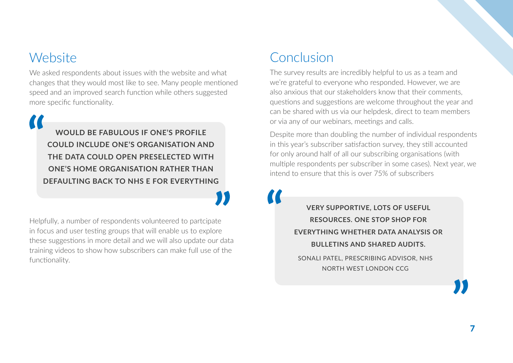### Website

We asked respondents about issues with the website and what changes that they would most like to see. Many people mentioned speed and an improved search function while others suggested more specific functionality.

**WOULD BE FABULOUS IF ONE'S PROFILE COULD INCLUDE ONE'S ORGANISATION AND THE DATA COULD OPEN PRESELECTED WITH ONE'S HOME ORGANISATION RATHER THAN DEFAULTING BACK TO NHS E FOR EVERYTHING**

Helpfully, a number of respondents volunteered to partcipate in focus and user testing groups that will enable us to explore these suggestions in more detail and we will also update our data training videos to show how subscribers can make full use of the functionality.

### Conclusion

The survey results are incredibly helpful to us as a team and we're grateful to everyone who responded. However, we are also anxious that our stakeholders know that their comments, questions and suggestions are welcome throughout the year and can be shared with us via our helpdesk, direct to team members or via any of our webinars, meetings and calls.

Despite more than doubling the number of individual respondents in this year's subscriber satisfaction survey, they still accounted for only around half of all our subscribing organisations (with multiple respondents per subscriber in some cases). Next year, we intend to ensure that this is over 75% of subscribers

> **VERY SUPPORTIVE, LOTS OF USEFUL RESOURCES. ONE STOP SHOP FOR EVERYTHING WHETHER DATA ANALYSIS OR BULLETINS AND SHARED AUDITS.** SONALI PATEL, PRESCRIBING ADVISOR, NHS

NORTH WEST LONDON CCG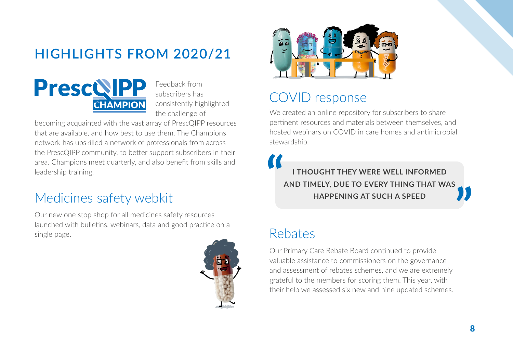# <span id="page-9-0"></span>**HIGHLIGHTS FROM 2020/21**



Feedback from subscribers has consistently highlighted the challenge of

becoming acquainted with the vast array of PrescQIPP resources that are available, and how best to use them. The Champions network has upskilled a network of professionals from across the PrescQIPP community, to better support subscribers in their area. Champions meet quarterly, and also benefit from skills and leadership training.

### Medicines safety webkit

Our new one stop shop for all medicines safety resources launched with bulletins, webinars, data and good practice on a single page.





### COVID response

We created an online repository for subscribers to share pertinent resources and materials between themselves, and hosted webinars on COVID in care homes and antimicrobial stewardship.

**I THOUGHT THEY WERE WELL INFORMED AND TIMELY, DUE TO EVERY THING THAT WAS HAPPENING AT SUCH A SPEED**

### Rebates

Our Primary Care Rebate Board continued to provide valuable assistance to commissioners on the governance and assessment of rebates schemes, and we are extremely grateful to the members for scoring them. This year, with their help we assessed six new and nine updated schemes.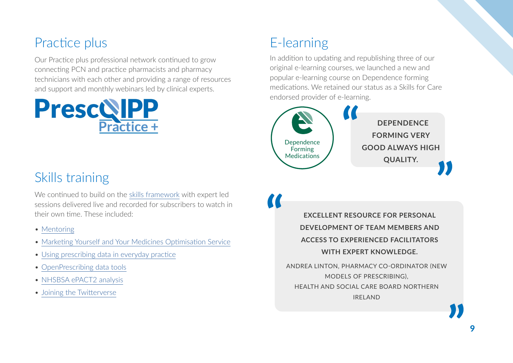### Practice plus

Our Practice plus professional network continued to grow connecting PCN and practice pharmacists and pharmacy technicians with each other and providing a range of resources and support and monthly webinars led by clinical experts.



## E-learning

In addition to updating and republishing three of our original e-learning courses, we launched a new and popular e-learning course on Dependence forming medications. We retained our status as a Skills for Care endorsed provider of e-learning.



### Skills training

We continued to build on the skills framework with expert led sessions delivered live and recorded for subscribers to watch in their own time. These included:

- [Mentoring](https://www.prescqipp.info/learning/skills-webinars/skills-training-mentoring-part-1/)
- [Marketing Yourself and Your Medicines Optimisation Service](https://www.prescqipp.info/learning/skills-courses/marketing-yourself-and-your-medicines-optimisation-service/)
- [Using prescribing data in everyday practice](https://www.prescqipp.info/learning/skills-webinars/using-prescribing-data-in-everyday-practice/)
- [OpenPrescribing data tools](https://www.prescqipp.info/learning/skills-webinars/openprescribing-data-tools-part-1/)
- [NHSBSA ePACT2 analysis](https://www.prescqipp.info/learning/skills-webinars/nhsbsa-epact2-analysis-building-your-own-analysis-and-reports/)
- Joining the Twitterverse

**EXCELLENT RESOURCE FOR PERSONAL DEVELOPMENT OF TEAM MEMBERS AND ACCESS TO EXPERIENCED FACILITATORS WITH EXPERT KNOWLEDGE.** 

ANDREA LINTON, PHARMACY CO-ORDINATOR (NEW MODELS OF PRESCRIBING), HEALTH AND SOCIAL CARE BOARD NORTHERN IRELAND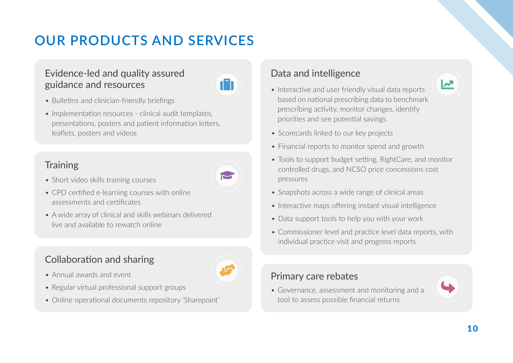# <span id="page-11-0"></span>**OUR PRODUCTS AND SERVICES**

#### Evidence-led and quality assured guidance and resources



- Bulletins and clinician-friendly briefings
- Implementation resources clinical audit templates, presentations, posters and patient information letters, leaflets, posters and videos

### **Training**



- CPD certified e-learning courses with online assessments and certificates
- A wide array of clinical and skills webinars delivered live and available to rewatch online

### Collaboration and sharing

- Annual awards and event
- Regular virtual professional support groups
- Online operational documents repository 'Sharepoint'

### Data and intelligence

- Interactive and user friendly visual data reports based on national prescribing data to benchmark prescribing activity, monitor changes, identify priorities and see potential savings.
- Scorecards linked to our key projects
- Financial reports to monitor spend and growth
- Tools to support budget setting, RightCare, and monitor controlled drugs, and NCSO price concessions cost pressures
- Snapshots across a wide range of clinical areas
- Interactive maps offering instant visual intelligence
- Data support tools to help you with your work
- Commissioner level and practice level data reports, with individual practice visit and progress reports

#### Primary care rebates

• Governance, assessment and monitoring and a tool to assess possible financial returns



 $\mathbf{v}$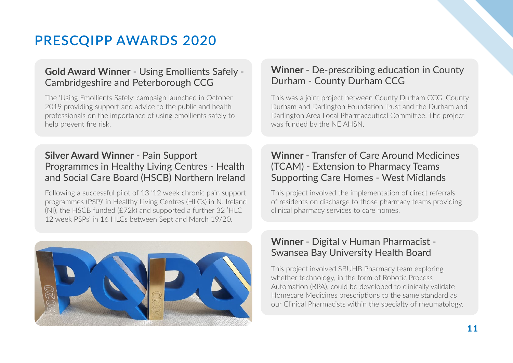## **PRESCQIPP AWARDS 2020**

#### **Gold Award Winner** - Using Emollients Safely - Cambridgeshire and Peterborough CCG

The 'Using Emollients Safely' campaign launched in October 2019 providing support and advice to the public and health professionals on the importance of using emollients safely to help prevent fire risk.

#### **Silver Award Winner** - Pain Support Programmes in Healthy Living Centres - Health and Social Care Board (HSCB) Northern Ireland

Following a successful pilot of 13 '12 week chronic pain support programmes (PSP)' in Healthy Living Centres (HLCs) in N. Ireland (NI), the HSCB funded (£72k) and supported a further 32 'HLC 12 week PSPs' in 16 HLCs between Sept and March 19/20.



#### **Winner** - De-prescribing education in County Durham - County Durham CCG

This was a joint project between County Durham CCG, County Durham and Darlington Foundation Trust and the Durham and Darlington Area Local Pharmaceutical Committee. The project was funded by the NE AHSN.

#### **Winner** - Transfer of Care Around Medicines (TCAM) - Extension to Pharmacy Teams Supporting Care Homes - West Midlands

This project involved the implementation of direct referrals of residents on discharge to those pharmacy teams providing clinical pharmacy services to care homes.

#### **Winner** - Digital v Human Pharmacist - Swansea Bay University Health Board

This project involved SBUHB Pharmacy team exploring whether technology, in the form of Robotic Process Automation (RPA), could be developed to clinically validate Homecare Medicines prescriptions to the same standard as our Clinical Pharmacists within the specialty of rheumatology.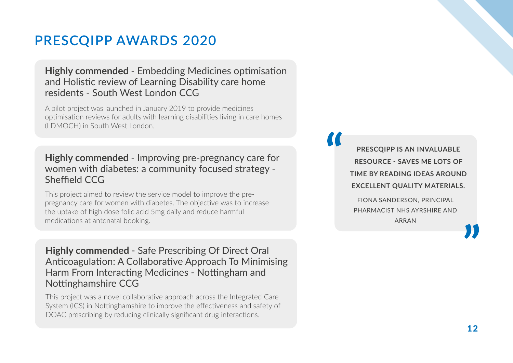### **PRESCQIPP AWARDS 2020**

#### **Highly commended** - Embedding Medicines optimisation and Holistic review of Learning Disability care home residents - South West London CCG

A pilot project was launched in January 2019 to provide medicines optimisation reviews for adults with learning disabilities living in care homes (LDMOCH) in South West London.

#### **Highly commended** - Improving pre-pregnancy care for women with diabetes: a community focused strategy - Sheffield CCG

This project aimed to review the service model to improve the prepregnancy care for women with diabetes. The objective was to increase the uptake of high dose folic acid 5mg daily and reduce harmful medications at antenatal booking.

**Highly commended** - Safe Prescribing Of Direct Oral Anticoagulation: A Collaborative Approach To Minimising Harm From Interacting Medicines - Nottingham and Nottinghamshire CCG

This project was a novel collaborative approach across the Integrated Care System (ICS) in Nottinghamshire to improve the effectiveness and safety of DOAC prescribing by reducing clinically significant drug interactions.

**PRESCQIPP IS AN INVALUABLE RESOURCE - SAVES ME LOTS OF TIME BY READING IDEAS AROUND EXCELLENT QUALITY MATERIALS.** 

FIONA SANDERSON, PRINCIPAL PHARMACIST NHS AYRSHIRE AND ARRAN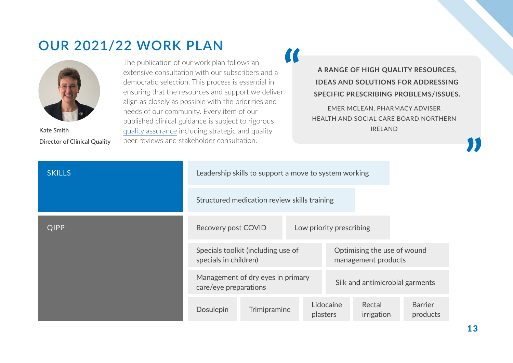### <span id="page-14-0"></span>**OUR 2021/22 WORK PLAN**



**Kate Smith Director of Clinical Quality**

 $\alpha$ The publication of our work plan follows an extensive consultation with our subscribers and a democratic selection. This process is essential in ensuring that the resources and support we deliver align as closely as possible with the priorities and needs of our community. Every item of our published clinical guidance is subject to rigorous [quality assurance](https://www.prescqipp.info/umbraco/surface/authorisedmediasurface/index?url=%2fmedia%2f5570%2fbl-11-prescqipp-quality-assurance-process-30.pdf) including strategic and quality peer reviews and stakeholder consultation.

**A RANGE OF HIGH QUALITY RESOURCES, IDEAS AND SOLUTIONS FOR ADDRESSING SPECIFIC PRESCRIBING PROBLEMS/ISSUES.** 

EMER MCLEAN, PHARMACY ADVISER HEALTH AND SOCIAL CARE BOARD NORTHERN IRELAND

| <b>SKILLS</b> | Leadership skills to support a move to system working       |                                 |  |                                                    |                      |                            |
|---------------|-------------------------------------------------------------|---------------------------------|--|----------------------------------------------------|----------------------|----------------------------|
|               | Structured medication review skills training                |                                 |  |                                                    |                      |                            |
| <b>QIPP</b>   | Recovery post COVID<br>Low priority prescribing             |                                 |  |                                                    |                      |                            |
|               | Specials toolkit (including use of<br>specials in children) |                                 |  | Optimising the use of wound<br>management products |                      |                            |
|               | Management of dry eyes in primary<br>care/eye preparations  | Silk and antimicrobial garments |  |                                                    |                      |                            |
|               | Dosulepin                                                   | Trimipramine                    |  | Lidocaine<br>plasters                              | Rectal<br>irrigation | <b>Barrier</b><br>products |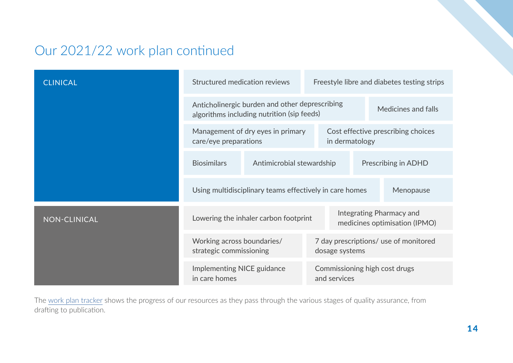### Our 2021/22 work plan continued

| <b>CLINICAL</b> | Structured medication reviews                                                                |                                       |  | Freestyle libre and diabetes testing strips             |                                                           |                     |  |
|-----------------|----------------------------------------------------------------------------------------------|---------------------------------------|--|---------------------------------------------------------|-----------------------------------------------------------|---------------------|--|
|                 | Anticholinergic burden and other deprescribing<br>algorithms including nutrition (sip feeds) |                                       |  |                                                         |                                                           | Medicines and falls |  |
|                 | Management of dry eyes in primary<br>care/eye preparations                                   |                                       |  | Cost effective prescribing choices<br>in dermatology    |                                                           |                     |  |
|                 | <b>Biosimilars</b>                                                                           | Antimicrobial stewardship             |  |                                                         |                                                           | Prescribing in ADHD |  |
|                 | Using multidisciplinary teams effectively in care homes<br>Menopause                         |                                       |  |                                                         |                                                           |                     |  |
| NON-CLINICAL    |                                                                                              | Lowering the inhaler carbon footprint |  |                                                         | Integrating Pharmacy and<br>medicines optimisation (IPMO) |                     |  |
|                 | Working across boundaries/<br>strategic commissioning                                        |                                       |  | 7 day prescriptions/ use of monitored<br>dosage systems |                                                           |                     |  |
|                 | Implementing NICE guidance<br>in care homes                                                  |                                       |  | Commissioning high cost drugs<br>and services           |                                                           |                     |  |

The [work plan tracker](https://www.prescqipp.info/our-resources/horizon-scan/) shows the progress of our resources as they pass through the various stages of quality assurance, from drafting to publication.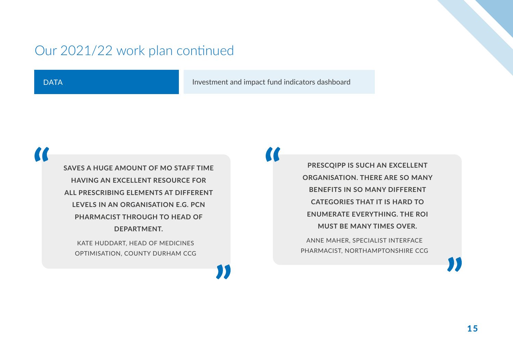### Our 2021/22 work plan continued

**DATA** 

Investment and impact fund indicators dashboard

**SAVES A HUGE AMOUNT OF MO STAFF TIME HAVING AN EXCELLENT RESOURCE FOR ALL PRESCRIBING ELEMENTS AT DIFFERENT LEVELS IN AN ORGANISATION E.G. PCN PHARMACIST THROUGH TO HEAD OF DEPARTMENT.**

KATE HUDDART, HEAD OF MEDICINES OPTIMISATION, COUNTY DURHAM CCG

**PRESCQIPP IS SUCH AN EXCELLENT ORGANISATION. THERE ARE SO MANY BENEFITS IN SO MANY DIFFERENT CATEGORIES THAT IT IS HARD TO ENUMERATE EVERYTHING. THE ROI MUST BE MANY TIMES OVER.** 

ANNE MAHER, SPECIALIST INTERFACE PHARMACIST, NORTHAMPTONSHIRE CCG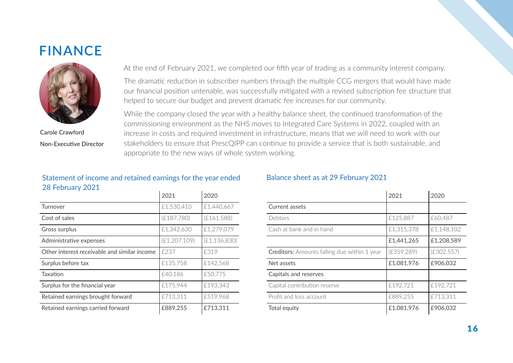### <span id="page-17-0"></span>**FINANCE**



**Carole Crawford Non-Executive Director**

At the end of February 2021, we completed our fifth year of trading as a community interest company.

The dramatic reduction in subscriber numbers through the multiple CCG mergers that would have made our financial position untenable, was successfully mitigated with a revised subscription fee structure that helped to secure our budget and prevent dramatic fee increases for our community.

While the company closed the year with a healthy balance sheet, the continued transformation of the commissioning environment as the NHS moves to Integrated Care Systems in 2022, coupled with an increase in costs and required investment in infrastructure, means that we will need to work with our stakeholders to ensure that PrescQIPP can continue to provide a service that is both sustainable, and appropriate to the new ways of whole system working.

#### Statement of income and retained earnings for the year ended 28 February 2021

|                                              | 2021           | 2020           |
|----------------------------------------------|----------------|----------------|
| Turnover                                     | £1,530,410     | £1,440,667     |
| Cost of sales                                | (E187,780)     | (E161,588)     |
| Gross surplus                                | £1,342,630     | £1,279,079     |
| Administrative expenses                      | (E1, 207, 109) | (E1, 136, 830) |
| Other interest receivable and similar income | £237           | £319           |
| Surplus before tax                           | £135,758       | £142,568       |
| Taxation                                     | £40.186        | £50,775        |
| Surplus for the financial year               | £175.944       | £193.343       |
| Retained earnings brought forward            | £713,311       | £519,968       |
| Retained earnings carried forward            | £889,255       | £713,311       |

#### Balance sheet as at 29 February 2021

|                                              | 2021        | 2020        |
|----------------------------------------------|-------------|-------------|
| Current assets                               |             |             |
| Debtors                                      | £125,887    | £60,487     |
| Cash at bank and in hand                     | £1,315,378  | £1,148,102  |
|                                              | £1,441,265  | £1,208,589  |
| Creditors: Amounts falling due within 1 year | (E359, 289) | (E302, 557) |
| Net assets                                   | £1,081,976  | £906,032    |
| Capitals and reserves                        |             |             |
| Capital contribution reserve                 | £192,721    | £192,721    |
| Profit and loss account                      | £889,255    | £713.311    |
| Total equity                                 | £1,081,976  | £906,032    |